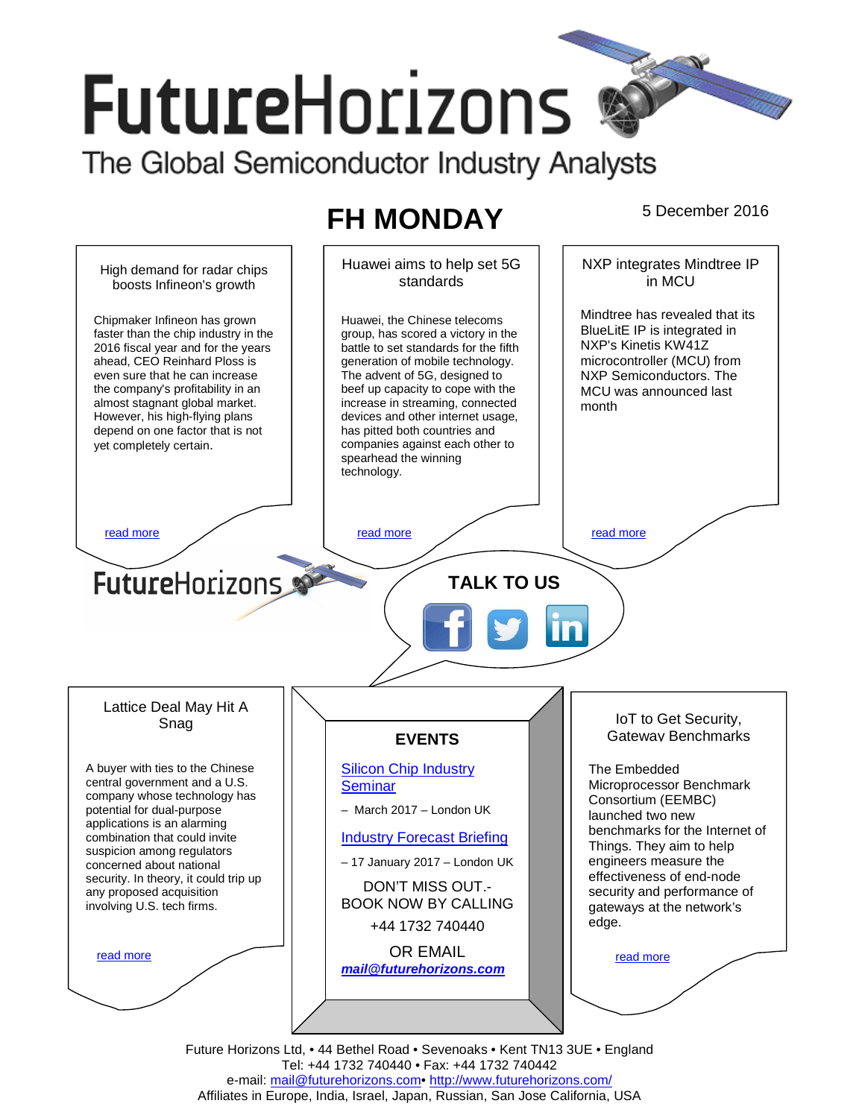# **FutureHorizons** The Global Semiconductor Industry Analysts

# **FH MONDAY** 5 December 2016



Future Horizons Ltd, • 44 Bethel Road • Sevenoaks • Kent TN13 3UE • England Tel: +44 1732 740440 • Fax: +44 1732 740442 e-mail: mail@futurehorizons.com• http://www.futurehorizons.com/ Affiliates in Europe, India, Israel, Japan, Russian, San Jose California, USA